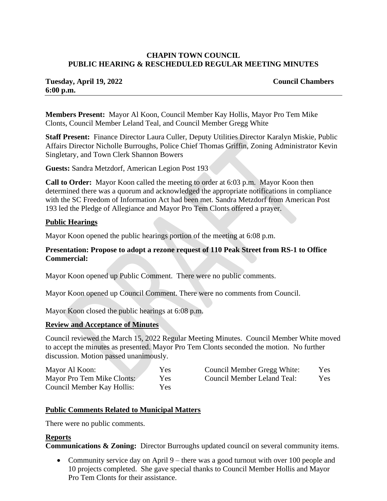# **CHAPIN TOWN COUNCIL PUBLIC HEARING & RESCHEDULED REGULAR MEETING MINUTES**

# **Tuesday, April 19, 2022 Council Chambers 6:00 p.m.**

**Members Present:** Mayor Al Koon, Council Member Kay Hollis, Mayor Pro Tem Mike Clonts, Council Member Leland Teal, and Council Member Gregg White

**Staff Present:** Finance Director Laura Culler, Deputy Utilities Director Karalyn Miskie, Public Affairs Director Nicholle Burroughs, Police Chief Thomas Griffin, Zoning Administrator Kevin Singletary, and Town Clerk Shannon Bowers

**Guests:** Sandra Metzdorf, American Legion Post 193

**Call to Order:** Mayor Koon called the meeting to order at 6:03 p.m. Mayor Koon then determined there was a quorum and acknowledged the appropriate notifications in compliance with the SC Freedom of Information Act had been met. Sandra Metzdorf from American Post 193 led the Pledge of Allegiance and Mayor Pro Tem Clonts offered a prayer.

# **Public Hearings**

Mayor Koon opened the public hearings portion of the meeting at 6:08 p.m.

# **Presentation: Propose to adopt a rezone request of 110 Peak Street from RS-1 to Office Commercial:**

Mayor Koon opened up Public Comment. There were no public comments.

Mayor Koon opened up Council Comment. There were no comments from Council.

Mayor Koon closed the public hearings at 6:08 p.m.

# **Review and Acceptance of Minutes**

Council reviewed the March 15, 2022 Regular Meeting Minutes. Council Member White moved to accept the minutes as presented. Mayor Pro Tem Clonts seconded the motion. No further discussion. Motion passed unanimously.

| Mayor Al Koon:             | Yes  | Council Member Gregg White: | Yes        |
|----------------------------|------|-----------------------------|------------|
| Mayor Pro Tem Mike Clonts: | Yes: | Council Member Leland Teal: | <b>Yes</b> |
| Council Member Kay Hollis: | Yes: |                             |            |

# **Public Comments Related to Municipal Matters**

There were no public comments.

# **Reports**

**Communications & Zoning:** Director Burroughs updated council on several community items.

• Community service day on April 9 – there was a good turnout with over 100 people and 10 projects completed. She gave special thanks to Council Member Hollis and Mayor Pro Tem Clonts for their assistance.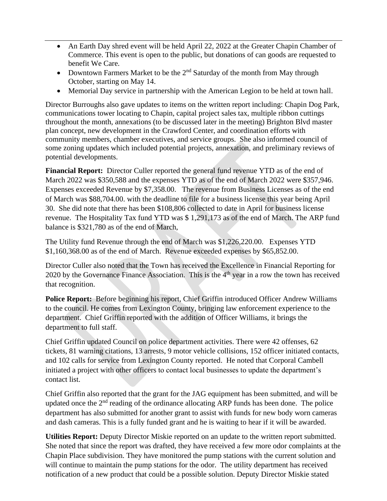- An Earth Day shred event will be held April 22, 2022 at the Greater Chapin Chamber of Commerce. This event is open to the public, but donations of can goods are requested to benefit We Care.
- Downtown Farmers Market to be the  $2<sup>nd</sup>$  Saturday of the month from May through October, starting on May 14.
- Memorial Day service in partnership with the American Legion to be held at town hall.

Director Burroughs also gave updates to items on the written report including: Chapin Dog Park, communications tower locating to Chapin, capital project sales tax, multiple ribbon cuttings throughout the month, annexations (to be discussed later in the meeting) Brighton Blvd master plan concept, new development in the Crawford Center, and coordination efforts with community members, chamber executives, and service groups. She also informed council of some zoning updates which included potential projects, annexation, and preliminary reviews of potential developments.

**Financial Report:** Director Culler reported the general fund revenue YTD as of the end of March 2022 was \$350,588 and the expenses YTD as of the end of March 2022 were \$357,946. Expenses exceeded Revenue by \$7,358.00. The revenue from Business Licenses as of the end of March was \$88,704.00. with the deadline to file for a business license this year being April 30. She did note that there has been \$108,806 collected to date in April for business license revenue. The Hospitality Tax fund YTD was \$ 1,291,173 as of the end of March. The ARP fund balance is \$321,780 as of the end of March,

The Utility fund Revenue through the end of March was \$1,226,220.00. Expenses YTD \$1,160,368.00 as of the end of March. Revenue exceeded expenses by \$65,852.00.

Director Culler also noted that the Town has received the Excellence in Financial Reporting for 2020 by the Governance Finance Association. This is the  $4<sup>th</sup>$  year in a row the town has received that recognition.

**Police Report:** Before beginning his report, Chief Griffin introduced Officer Andrew Williams to the council. He comes from Lexington County, bringing law enforcement experience to the department. Chief Griffin reported with the addition of Officer Williams, it brings the department to full staff.

Chief Griffin updated Council on police department activities. There were 42 offenses, 62 tickets, 81 warning citations, 13 arrests, 9 motor vehicle collisions, 152 officer initiated contacts, and 102 calls for service from Lexington County reported. He noted that Corporal Cambell initiated a project with other officers to contact local businesses to update the department's contact list.

Chief Griffin also reported that the grant for the JAG equipment has been submitted, and will be updated once the  $2<sup>nd</sup>$  reading of the ordinance allocating ARP funds has been done. The police department has also submitted for another grant to assist with funds for new body worn cameras and dash cameras. This is a fully funded grant and he is waiting to hear if it will be awarded.

**Utilities Report:** Deputy Director Miskie reported on an update to the written report submitted. She noted that since the report was drafted, they have received a few more odor complaints at the Chapin Place subdivision. They have monitored the pump stations with the current solution and will continue to maintain the pump stations for the odor. The utility department has received notification of a new product that could be a possible solution. Deputy Director Miskie stated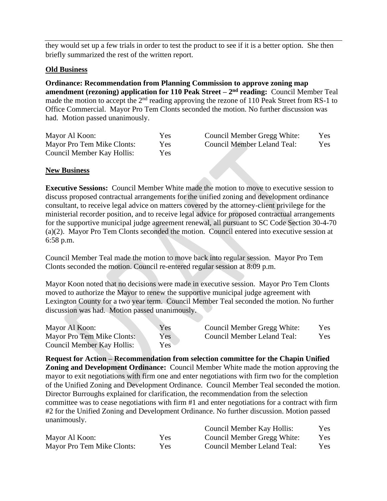they would set up a few trials in order to test the product to see if it is a better option. She then briefly summarized the rest of the written report.

# **Old Business**

**Ordinance: Recommendation from Planning Commission to approve zoning map amendment (rezoning) application for 110 Peak Street – 2<sup>nd</sup> reading:** Council Member Teal made the motion to accept the 2<sup>nd</sup> reading approving the rezone of 110 Peak Street from RS-1 to Office Commercial. Mayor Pro Tem Clonts seconded the motion. No further discussion was had. Motion passed unanimously.

| Mayor Al Koon:             | Yes        | Council Member Gregg White: | Yes. |
|----------------------------|------------|-----------------------------|------|
| Mayor Pro Tem Mike Clonts: | <b>Yes</b> | Council Member Leland Teal: | Yes. |
| Council Member Kay Hollis: | Yes:       |                             |      |

# **New Business**

**Executive Sessions:** Council Member White made the motion to move to executive session to discuss proposed contractual arrangements for the unified zoning and development ordinance consultant, to receive legal advice on matters covered by the attorney-client privilege for the ministerial recorder position, and to receive legal advice for proposed contractual arrangements for the supportive municipal judge agreement renewal, all pursuant to SC Code Section 30-4-70 (a)(2). Mayor Pro Tem Clonts seconded the motion. Council entered into executive session at 6:58 p.m.

Council Member Teal made the motion to move back into regular session. Mayor Pro Tem Clonts seconded the motion. Council re-entered regular session at 8:09 p.m.

Mayor Koon noted that no decisions were made in executive session. Mayor Pro Tem Clonts moved to authorize the Mayor to renew the supportive municipal judge agreement with Lexington County for a two year term. Council Member Teal seconded the motion. No further discussion was had. Motion passed unanimously.

| Mayor Al Koon:                    | Yes | Council Member Gregg White: | Yes |
|-----------------------------------|-----|-----------------------------|-----|
| Mayor Pro Tem Mike Clonts:        | Yes | Council Member Leland Teal: | Yes |
| <b>Council Member Kay Hollis:</b> | Yes |                             |     |

**Request for Action – Recommendation from selection committee for the Chapin Unified Zoning and Development Ordinance:** Council Member White made the motion approving the mayor to exit negotiations with firm one and enter negotiations with firm two for the completion of the Unified Zoning and Development Ordinance. Council Member Teal seconded the motion. Director Burroughs explained for clarification, the recommendation from the selection committee was to cease negotiations with firm #1 and enter negotiations for a contract with firm #2 for the Unified Zoning and Development Ordinance. No further discussion. Motion passed unanimously.

|                            |            | Council Member Kay Hollis:  | Yes. |
|----------------------------|------------|-----------------------------|------|
| Mayor Al Koon:             | <b>Yes</b> | Council Member Gregg White: | Yes  |
| Mayor Pro Tem Mike Clonts: | Yes.       | Council Member Leland Teal: | Yes. |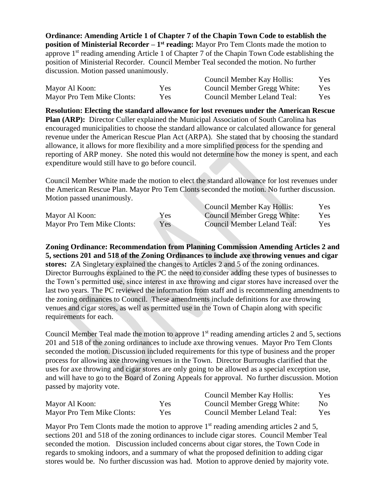**Ordinance: Amending Article 1 of Chapter 7 of the Chapin Town Code to establish the position of Ministerial Recorder – 1<sup>st</sup> reading:** Mayor Pro Tem Clonts made the motion to approve 1st reading amending Article 1 of Chapter 7 of the Chapin Town Code establishing the position of Ministerial Recorder. Council Member Teal seconded the motion. No further discussion. Motion passed unanimously.

|                            |            | Council Member Kay Hollis:  | Yes  |
|----------------------------|------------|-----------------------------|------|
| Mayor Al Koon:             | Yes.       | Council Member Gregg White: | Yes  |
| Mayor Pro Tem Mike Clonts: | <b>Yes</b> | Council Member Leland Teal: | Yes. |

**Resolution: Electing the standard allowance for lost revenues under the American Rescue Plan (ARP):** Director Culler explained the Municipal Association of South Carolina has encouraged municipalities to choose the standard allowance or calculated allowance for general revenue under the American Rescue Plan Act (ARPA). She stated that by choosing the standard allowance, it allows for more flexibility and a more simplified process for the spending and reporting of ARP money. She noted this would not determine how the money is spent, and each expenditure would still have to go before council.

Council Member White made the motion to elect the standard allowance for lost revenues under the American Rescue Plan. Mayor Pro Tem Clonts seconded the motion. No further discussion. Motion passed unanimously. Council Member Kay Hollis

|                            |            | Council Member Kay Hollis:  | Yes. |
|----------------------------|------------|-----------------------------|------|
| Mayor Al Koon:             | <b>Yes</b> | Council Member Gregg White: | Yes. |
| Mayor Pro Tem Mike Clonts: | Yes        | Council Member Leland Teal: | Yes. |

**Zoning Ordinance: Recommendation from Planning Commission Amending Articles 2 and 5, sections 201 and 518 of the Zoning Ordinances to include axe throwing venues and cigar stores:** ZA Singletary explained the changes to Articles 2 and 5 of the zoning ordinances. Director Burroughs explained to the PC the need to consider adding these types of businesses to the Town's permitted use, since interest in axe throwing and cigar stores have increased over the last two years. The PC reviewed the information from staff and is recommending amendments to the zoning ordinances to Council. These amendments include definitions for axe throwing venues and cigar stores, as well as permitted use in the Town of Chapin along with specific requirements for each.

Council Member Teal made the motion to approve  $1<sup>st</sup>$  reading amending articles 2 and 5, sections 201 and 518 of the zoning ordinances to include axe throwing venues. Mayor Pro Tem Clonts seconded the motion. Discussion included requirements for this type of business and the proper process for allowing axe throwing venues in the Town. Director Burroughs clarified that the uses for axe throwing and cigar stores are only going to be allowed as a special exception use, and will have to go to the Board of Zoning Appeals for approval. No further discussion. Motion passed by majority vote.

|                            |      | Council Member Kay Hollis:  | Yes.           |
|----------------------------|------|-----------------------------|----------------|
| Mayor Al Koon:             | Yes  | Council Member Gregg White: | N <sub>0</sub> |
| Mayor Pro Tem Mike Clonts: | Yes. | Council Member Leland Teal: | Yes            |

Mayor Pro Tem Clonts made the motion to approve  $1<sup>st</sup>$  reading amending articles 2 and 5, sections 201 and 518 of the zoning ordinances to include cigar stores. Council Member Teal seconded the motion. Discussion included concerns about cigar stores, the Town Code in regards to smoking indoors, and a summary of what the proposed definition to adding cigar stores would be. No further discussion was had. Motion to approve denied by majority vote.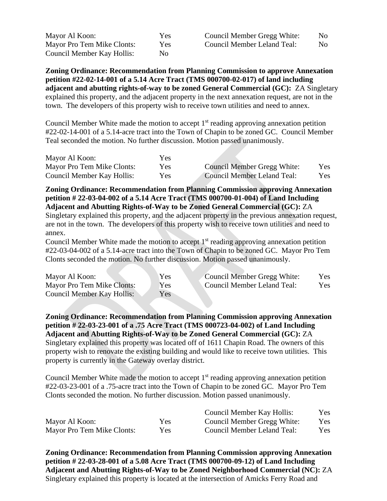Mayor Al Koon: Yes Mayor Pro Tem Mike Clonts: Yes Council Member Kay Hollis: No

**Zoning Ordinance: Recommendation from Planning Commission to approve Annexation petition #22-02-14-001 of a 5.14 Acre Tract (TMS 000700-02-017) of land including adjacent and abutting rights-of-way to be zoned General Commercial (GC):** ZA Singletary explained this property, and the adjacent property in the next annexation request, are not in the town. The developers of this property wish to receive town utilities and need to annex.

Council Member White made the motion to accept  $1<sup>st</sup>$  reading approving annexation petition #22-02-14-001 of a 5.14-acre tract into the Town of Chapin to be zoned GC. Council Member Teal seconded the motion. No further discussion. Motion passed unanimously.

| Mayor Al Koon:             | Yes  |                             |      |
|----------------------------|------|-----------------------------|------|
| Mayor Pro Tem Mike Clonts: | Yes  | Council Member Gregg White: | Yes  |
| Council Member Kay Hollis: | Yes: | Council Member Leland Teal: | Yes: |

**Zoning Ordinance: Recommendation from Planning Commission approving Annexation petition # 22-03-04-002 of a 5.14 Acre Tract (TMS 000700-01-004) of Land Including Adjacent and Abutting Rights-of-Way to be Zoned General Commercial (GC):** ZA Singletary explained this property, and the adjacent property in the previous annexation request, are not in the town. The developers of this property wish to receive town utilities and need to annex.

Council Member White made the motion to accept  $1<sup>st</sup>$  reading approving annexation petition #22-03-04-002 of a 5.14-acre tract into the Town of Chapin to be zoned GC. Mayor Pro Tem Clonts seconded the motion. No further discussion. Motion passed unanimously.

| Mayor Al Koon:             | Yes | Council Member Gregg White: | Yes: |
|----------------------------|-----|-----------------------------|------|
| Mayor Pro Tem Mike Clonts: | Yes | Council Member Leland Teal: | Yes. |
| Council Member Kay Hollis: | Yes |                             |      |

**Zoning Ordinance: Recommendation from Planning Commission approving Annexation petition # 22-03-23-001 of a .75 Acre Tract (TMS 000723-04-002) of Land Including Adjacent and Abutting Rights-of-Way to be Zoned General Commercial (GC):** ZA Singletary explained this property was located off of 1611 Chapin Road. The owners of this property wish to renovate the existing building and would like to receive town utilities. This property is currently in the Gateway overlay district.

Council Member White made the motion to accept  $1<sup>st</sup>$  reading approving annexation petition #22-03-23-001 of a .75-acre tract into the Town of Chapin to be zoned GC. Mayor Pro Tem Clonts seconded the motion. No further discussion. Motion passed unanimously.

|                            |      | Council Member Kay Hollis:  | <b>Yes</b> |
|----------------------------|------|-----------------------------|------------|
| Mayor Al Koon:             | Yes  | Council Member Gregg White: | <b>Yes</b> |
| Mayor Pro Tem Mike Clonts: | Yes. | Council Member Leland Teal: | Yes.       |

**Zoning Ordinance: Recommendation from Planning Commission approving Annexation petition # 22-03-28-001 of a 5.08 Acre Tract (TMS 000700-09-12) of Land Including Adjacent and Abutting Rights-of-Way to be Zoned Neighborhood Commercial (NC):** ZA Singletary explained this property is located at the intersection of Amicks Ferry Road and